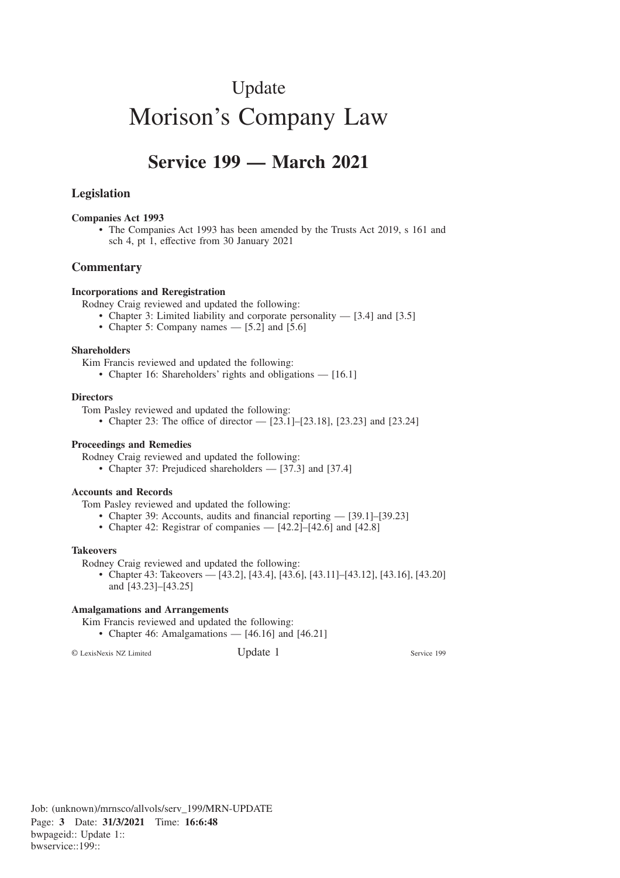# Update Morison's Company Law

# **Service 199 — March 2021**

# **Legislation**

#### **Companies Act 1993**

• The Companies Act 1993 has been amended by the Trusts Act 2019, s 161 and sch 4, pt 1, effective from 30 January 2021

# **Commentary**

#### **Incorporations and Reregistration**

Rodney Craig reviewed and updated the following:

- Chapter 3: Limited liability and corporate personality [3.4] and [3.5]
- Chapter 5: Company names [5.2] and [5.6]

#### **Shareholders**

Kim Francis reviewed and updated the following:

• Chapter 16: Shareholders' rights and obligations — [16.1]

#### **Directors**

Tom Pasley reviewed and updated the following:

• Chapter 23: The office of director  $-$  [23.1]–[23.18], [23.23] and [23.24]

#### **Proceedings and Remedies**

Rodney Craig reviewed and updated the following:

• Chapter 37: Prejudiced shareholders — [37.3] and [37.4]

#### **Accounts and Records**

Tom Pasley reviewed and updated the following:

- Chapter 39: Accounts, audits and financial reporting [39.1]–[39.23]
- Chapter 42: Registrar of companies [42.2]–[42.6] and [42.8]

#### **Takeovers**

Rodney Craig reviewed and updated the following:

• Chapter 43: Takeovers — [43.2], [43.4], [43.6], [43.11]–[43.12], [43.16], [43.20] and [43.23]–[43.25]

#### **Amalgamations and Arrangements**

Kim Francis reviewed and updated the following:

• Chapter 46: Amalgamations — [46.16] and [46.21]